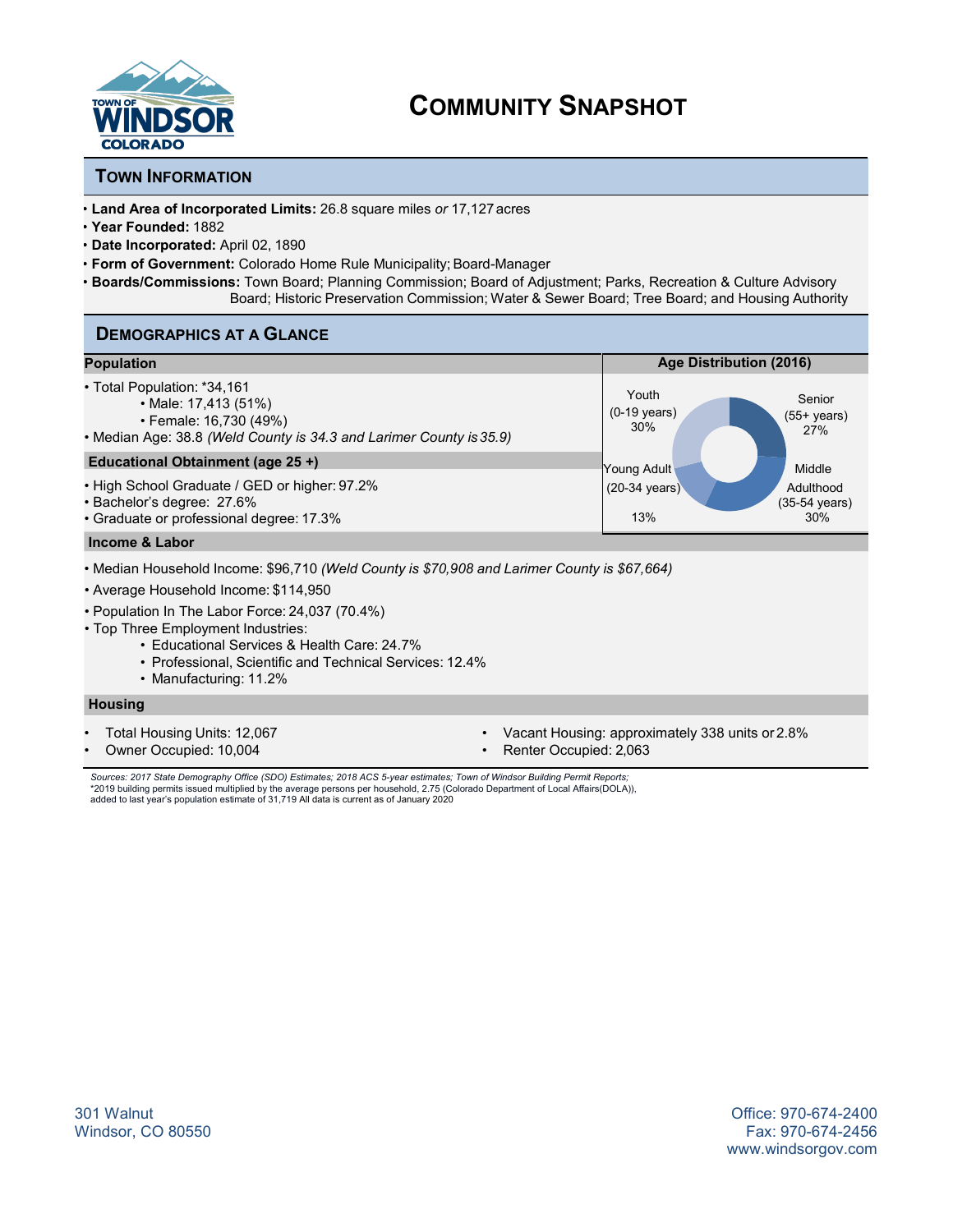

## **TOWN INFORMATION**

- **Land Area of Incorporated Limits:** 26.8 square miles *or* 17,127acres
- **Year Founded:** 1882
- **Date Incorporated:** April 02, 1890
- **Form of Government:** Colorado Home Rule Municipality; Board-Manager
- **Boards/Commissions:** Town Board; Planning Commission; Board of Adjustment; Parks, Recreation & Culture Advisory Board; Historic Preservation Commission; Water & Sewer Board; Tree Board; and Housing Authority

## **DEMOGRAPHICS AT A GLANCE**

| <b>Population</b>                                                                                                                                                                                                                                                                                                                                                          | Age Distribution (2016)                                                   |  |
|----------------------------------------------------------------------------------------------------------------------------------------------------------------------------------------------------------------------------------------------------------------------------------------------------------------------------------------------------------------------------|---------------------------------------------------------------------------|--|
| • Total Population: *34,161<br>• Male: 17,413 (51%)<br>• Female: 16,730 (49%)<br>• Median Age: 38.8 (Weld County is 34.3 and Larimer County is 35.9)                                                                                                                                                                                                                       | Youth<br>Senior<br>$(0-19$ years)<br>$(55+ \text{ years})$<br>30%<br>27%  |  |
| Educational Obtainment (age 25+)                                                                                                                                                                                                                                                                                                                                           | Young Adult<br>Middle                                                     |  |
| • High School Graduate / GED or higher: 97.2%<br>• Bachelor's degree: 27.6%<br>• Graduate or professional degree: 17.3%                                                                                                                                                                                                                                                    | $(20-34 \text{ years})$<br>Adulthood<br>(35-54 years)<br>13%<br>30%       |  |
| <b>Income &amp; Labor</b>                                                                                                                                                                                                                                                                                                                                                  |                                                                           |  |
| • Median Household Income: \$96,710 <i>(Weld County is \$70,908 and Larimer County is \$67,664)</i><br>• Average Household Income: \$114,950<br>• Population In The Labor Force: 24,037 (70.4%)<br>• Top Three Employment Industries:<br>• Educational Services & Health Care: 24.7%<br>• Professional, Scientific and Technical Services: 12.4%<br>• Manufacturing: 11.2% |                                                                           |  |
| <b>Housing</b>                                                                                                                                                                                                                                                                                                                                                             |                                                                           |  |
| Total Housing Units: 12,067<br>Owner Occupied: 10,004                                                                                                                                                                                                                                                                                                                      | Vacant Housing: approximately 338 units or 2.8%<br>Renter Occupied: 2,063 |  |

Sources: 2017 State Demography Office (SDO) Estimates; 2018 ACS 5-year estimates; Town of Windsor Building Permit Reports;<br>\*2019 building permits issued multiplied by the average persons per household, 2.75 (Colorado Depar